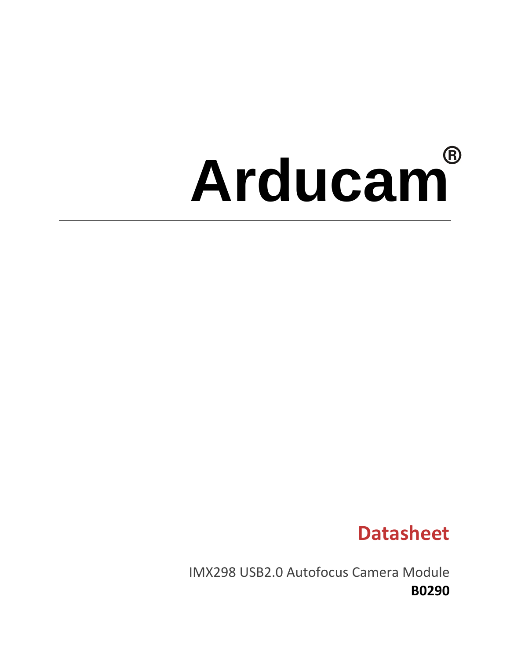# **Arducam**

# **Datasheet**

IMX298 USB2.0 Autofocus Camera Module **B0290**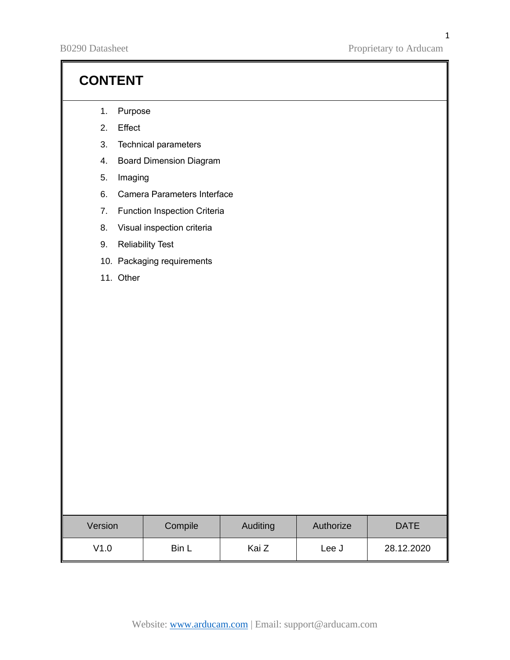B0290 Datasheet Proprietary to Arducam

## **CONTENT**

- 1. Purpose
- 2. Effect
- 3. Technical parameters
- 4. Board Dimension Diagram
- 5. Imaging
- 6. Camera Parameters Interface
- 7. Function Inspection Criteria
- 8. Visual inspection criteria
- 9. Reliability Test
- 10. Packaging requirements
- 11. Other

| Version | Compile | <b>Auditing</b> | Authorize | <b>DATE</b> |
|---------|---------|-----------------|-----------|-------------|
| V1.0    | Bin L   | Kai Z           | Lee J     | 28.12.2020  |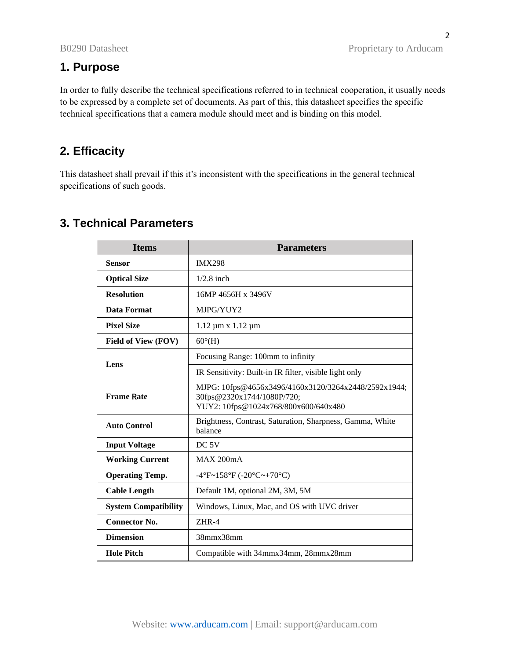2

## **1. Purpose**

In order to fully describe the technical specifications referred to in technical cooperation, it usually needs to be expressed by a complete set of documents. As part of this, this datasheet specifies the specific technical specifications that a camera module should meet and is binding on this model.

## **2. Efficacity**

This datasheet shall prevail if this it's inconsistent with the specifications in the general technical specifications of such goods.

| <b>Items</b>                | <b>Parameters</b>                                                                                                          |  |
|-----------------------------|----------------------------------------------------------------------------------------------------------------------------|--|
| <b>Sensor</b>               | <b>IMX298</b>                                                                                                              |  |
| <b>Optical Size</b>         | $1/2.8$ inch                                                                                                               |  |
| <b>Resolution</b>           | 16MP 4656H x 3496V                                                                                                         |  |
| <b>Data Format</b>          | MJPG/YUY2                                                                                                                  |  |
| <b>Pixel Size</b>           | $1.12 \mu m \times 1.12 \mu m$                                                                                             |  |
| <b>Field of View (FOV)</b>  | $60^{\circ}$ (H)                                                                                                           |  |
| Lens                        | Focusing Range: 100mm to infinity                                                                                          |  |
|                             | IR Sensitivity: Built-in IR filter, visible light only                                                                     |  |
| <b>Frame Rate</b>           | MJPG: 10fps@4656x3496/4160x3120/3264x2448/2592x1944;<br>30fps@2320x1744/1080P/720;<br>YUY2: 10fps@1024x768/800x600/640x480 |  |
| <b>Auto Control</b>         | Brightness, Contrast, Saturation, Sharpness, Gamma, White<br>balance                                                       |  |
| <b>Input Voltage</b>        | DC <sub>5V</sub>                                                                                                           |  |
| <b>Working Current</b>      | MAX 200mA                                                                                                                  |  |
| <b>Operating Temp.</b>      | -4°F~158°F (-20°C~+70°C)                                                                                                   |  |
| <b>Cable Length</b>         | Default 1M, optional 2M, 3M, 5M                                                                                            |  |
| <b>System Compatibility</b> | Windows, Linux, Mac, and OS with UVC driver                                                                                |  |
| <b>Connector No.</b>        | $ZHR-4$                                                                                                                    |  |
| <b>Dimension</b>            | 38mmx38mm                                                                                                                  |  |
| <b>Hole Pitch</b>           | Compatible with 34mmx34mm, 28mmx28mm                                                                                       |  |

## **3. Technical Parameters**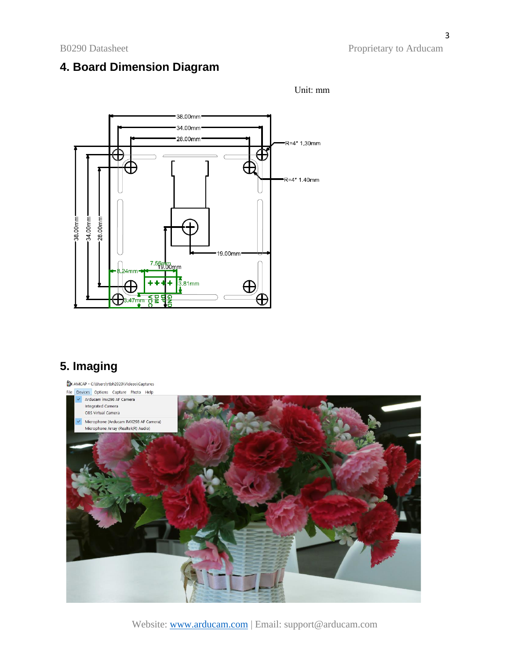## **4. Board Dimension Diagram**



## **5. Imaging**



Unit: mm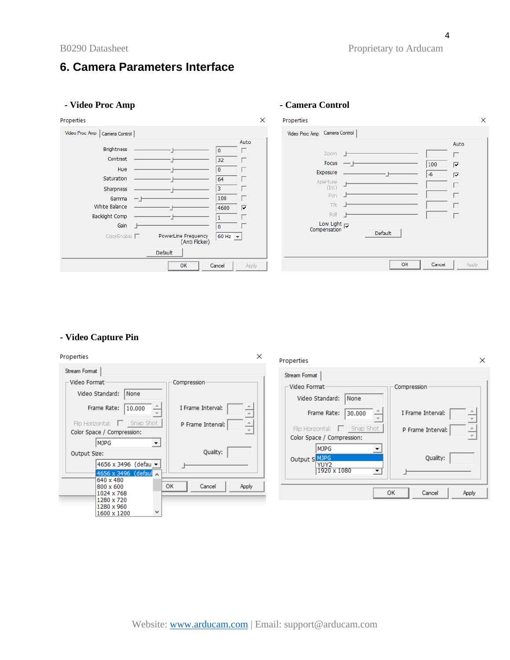## **6. Camera Parameters Interface**

| - Video Proc Amp                                                                                                                                                                                                                          |                                                                                              | - Camera Control                                                                                                                                                                                                                |       |
|-------------------------------------------------------------------------------------------------------------------------------------------------------------------------------------------------------------------------------------------|----------------------------------------------------------------------------------------------|---------------------------------------------------------------------------------------------------------------------------------------------------------------------------------------------------------------------------------|-------|
| Properties                                                                                                                                                                                                                                | $\times$                                                                                     | Properties                                                                                                                                                                                                                      | ×     |
| Video Proc Amp   Camera Control  <br><b>Brightness</b><br>Contrast<br>Hue<br>Saturation<br>Sharpness<br>Gamma<br>White Balance<br><b>Backlight Comp</b><br>Gain<br>PowerLine Frequency<br>ColorEnable $\Box$<br>(Anti Flicker)<br>Default | Auto<br>0<br>32<br>$\mathbf{0}$<br>64<br>з<br>100<br>4600<br>⊽<br>0<br>$60$ Hz $\rightarrow$ | Video Proc Amp Camera Control<br>Auto<br>Zoom<br>г<br>Focus<br>100<br>⊽<br>Exposure<br>$-6$<br>$\overline{\mathbf{v}}$<br>Aperture<br>(Iris)<br>Pan<br>Tilt<br>Roll<br>┍<br>Low Light $\overline{V}$<br>Compensation<br>Default |       |
| OK                                                                                                                                                                                                                                        | Cancel<br>Apply                                                                              | OK<br>Cancel                                                                                                                                                                                                                    | Apply |

## **- Video Capture Pin**

| Properties                                                                                                                                                                                                                                                             | $\times$<br>Properties<br>$\times$                                                                                                                                                                                               |  |
|------------------------------------------------------------------------------------------------------------------------------------------------------------------------------------------------------------------------------------------------------------------------|----------------------------------------------------------------------------------------------------------------------------------------------------------------------------------------------------------------------------------|--|
| Stream Format<br>– Video Format<br>Compression<br>Video Standard:<br>None<br>I Frame Interval:<br>Frame Rate:<br>10.000<br>$\overline{\phantom{a}}$<br>Flip Horizontal: $\Box$ Snap Shot<br>A.<br>P Frame Interval:<br>$\overline{\psi}$<br>Color Space / Compression: | Stream Format<br>– Video Format<br>Compression<br>Video Standard:<br>None<br>I Frame Interval:<br>Frame Rate:<br>30.000<br>Flip Horizontal: $\Box$ Snap Shot<br>P Frame Interval:<br>$\frac{1}{x}$<br>Color Space / Compression: |  |
| MJPG<br>$\blacktriangledown$<br>Quality:<br>Output Size:<br>4656 x 3496 (defau –<br>4656 x 3496 (defaul $\land$<br>640 x 480<br>OK<br>Cancel<br>Apply<br>800 x 600                                                                                                     | <b>MJPG</b><br>Quality:<br>Output S MJPG<br>YUY2<br>1920 x 1080<br>$\overline{\phantom{a}}$                                                                                                                                      |  |
| 1024 x 768<br>1280 x 720<br>1280 x 960<br>1600 x 1200                                                                                                                                                                                                                  | OK<br>Cancel<br>Apply                                                                                                                                                                                                            |  |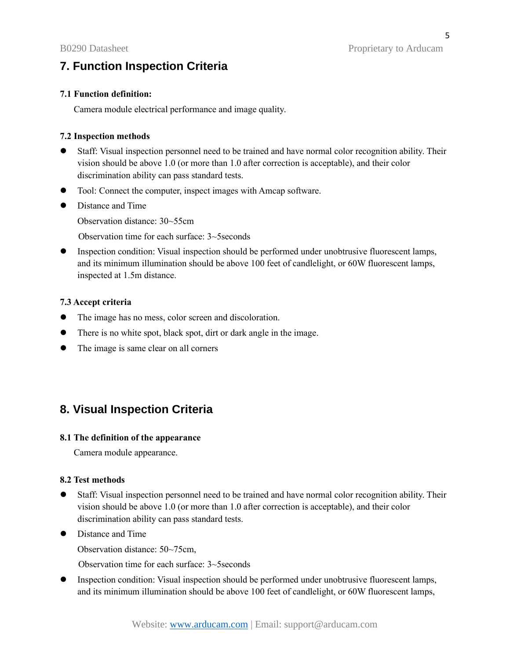## **7. Function Inspection Criteria**

### **7.1 Function definition:**

Camera module electrical performance and image quality.

### **7.2 Inspection methods**

- ⚫ Staff: Visual inspection personnel need to be trained and have normal color recognition ability. Their vision should be above 1.0 (or more than 1.0 after correction is acceptable), and their color discrimination ability can pass standard tests.
- Tool: Connect the computer, inspect images with Amcap software.
- Distance and Time

Observation distance: 30~55cm

Observation time for each surface: 3~5seconds

⚫ Inspection condition: Visual inspection should be performed under unobtrusive fluorescent lamps, and its minimum illumination should be above 100 feet of candlelight, or 60W fluorescent lamps, inspected at 1.5m distance.

### **7.3 Accept criteria**

- ⚫ The image has no mess, color screen and discoloration.
- ⚫ There is no white spot, black spot, dirt or dark angle in the image.
- ⚫ The image is same clear on all corners

## **8. Visual Inspection Criteria**

### **8.1 The definition of the appearance**

Camera module appearance.

#### **8.2 Test methods**

- ⚫ Staff: Visual inspection personnel need to be trained and have normal color recognition ability. Their vision should be above 1.0 (or more than 1.0 after correction is acceptable), and their color discrimination ability can pass standard tests.
- Distance and Time

Observation distance: 50~75cm,

Observation time for each surface: 3~5seconds

⚫ Inspection condition: Visual inspection should be performed under unobtrusive fluorescent lamps, and its minimum illumination should be above 100 feet of candlelight, or 60W fluorescent lamps,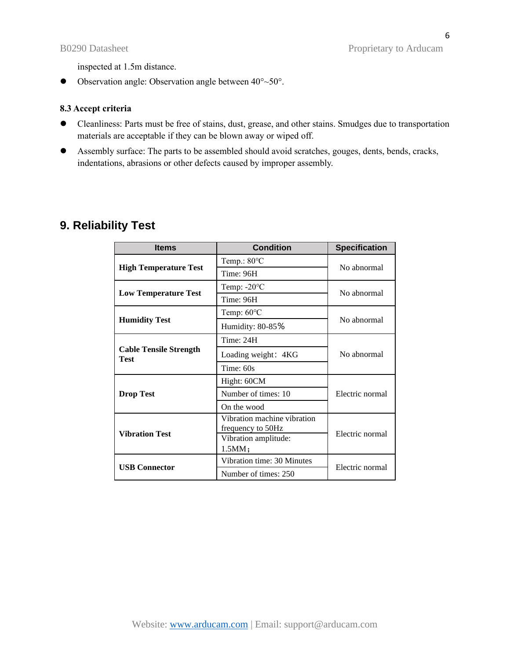inspected at 1.5m distance.

 $\bullet$  Observation angle: Observation angle between  $40^{\circ}$  ~50°.

### **8.3 Accept criteria**

- ⚫ Cleanliness: Parts must be free of stains, dust, grease, and other stains. Smudges due to transportation materials are acceptable if they can be blown away or wiped off.
- ⚫ Assembly surface: The parts to be assembled should avoid scratches, gouges, dents, bends, cracks, indentations, abrasions or other defects caused by improper assembly.

## **9. Reliability Test**

| <b>Items</b>                                 | <b>Condition</b>                                 | <b>Specification</b> |  |
|----------------------------------------------|--------------------------------------------------|----------------------|--|
|                                              | Temp.: 80°C                                      | No abnormal          |  |
| <b>High Temperature Test</b>                 | Time: 96H                                        |                      |  |
| <b>Low Temperature Test</b>                  | Temp: $-20^{\circ}$ C                            | No abnormal          |  |
|                                              | Time: 96H                                        |                      |  |
|                                              | Temp: 60°C                                       | No abnormal          |  |
| <b>Humidity Test</b>                         | Humidity: 80-85%                                 |                      |  |
|                                              | Time: 24H                                        |                      |  |
| <b>Cable Tensile Strength</b><br><b>Test</b> | Loading weight: 4KG                              | No abnormal          |  |
|                                              | Time: $60s$                                      |                      |  |
|                                              | Hight: 60CM                                      | Electric normal      |  |
| <b>Drop Test</b>                             | Number of times: 10                              |                      |  |
|                                              | On the wood                                      |                      |  |
|                                              | Vibration machine vibration<br>frequency to 50Hz |                      |  |
| <b>Vibration Test</b>                        | Vibration amplitude:<br>1.5MM;                   | Electric normal      |  |
| <b>USB Connector</b>                         | Vibration time: 30 Minutes                       |                      |  |
|                                              | Number of times: 250                             | Electric normal      |  |